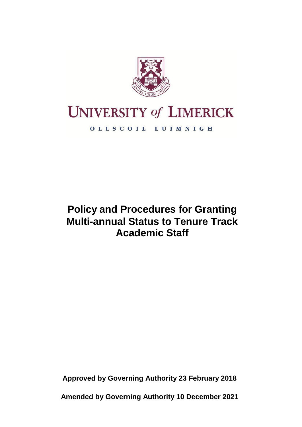

# **UNIVERSITY of LIMERICK**

OLLSCOIL LUIMNIGH

# **Policy and Procedures for Granting Multi-annual Status to Tenure Track Academic Staff**

**Approved by Governing Authority 23 February 2018**

**Amended by Governing Authority 10 December 2021**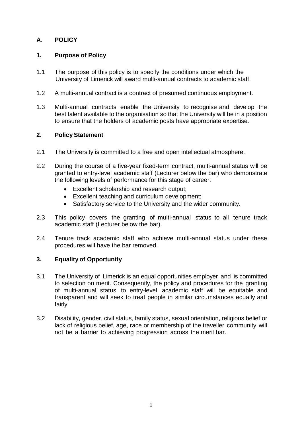# **A. POLICY**

# **1. Purpose of Policy**

- 1.1 The purpose of this policy is to specify the conditions under which the University of Limerick will award multi-annual contracts to academic staff.
- 1.2 A multi-annual contract is a contract of presumed continuous employment.
- 1.3 Multi-annual contracts enable the University to recognise and develop the best talent available to the organisation so that the University will be in a position to ensure that the holders of academic posts have appropriate expertise.

#### **2. Policy Statement**

- 2.1 The University is committed to a free and open intellectual atmosphere.
- 2.2 During the course of a five-year fixed-term contract, multi-annual status will be granted to entry-level academic staff (Lecturer below the bar) who demonstrate the following levels of performance for this stage of career:
	- Excellent scholarship and research output;
	- Excellent teaching and curriculum development;
	- Satisfactory service to the University and the wider community.
- 2.3 This policy covers the granting of multi-annual status to all tenure track academic staff (Lecturer below the bar).
- 2.4 Tenure track academic staff who achieve multi-annual status under these procedures will have the bar removed.

# **3. Equality of Opportunity**

- 3.1 The University of Limerick is an equal opportunities employer and is committed to selection on merit. Consequently, the policy and procedures for the granting of multi-annual status to entry-level academic staff will be equitable and transparent and will seek to treat people in similar circumstances equally and fairly.
- 3.2 Disability, gender, civil status, family status, sexual orientation, religious belief or lack of religious belief, age, race or membership of the traveller community will not be a barrier to achieving progression across the merit bar.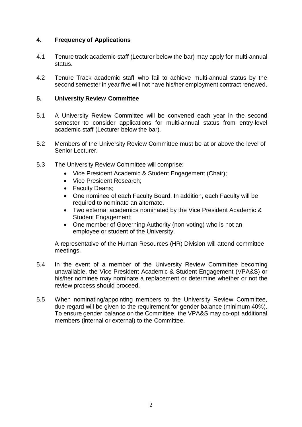# **4. Frequency of Applications**

- 4.1 Tenure track academic staff (Lecturer below the bar) may apply for multi-annual status.
- 4.2 Tenure Track academic staff who fail to achieve multi-annual status by the second semester in year five will not have his/her employment contract renewed.

#### **5. University Review Committee**

- 5.1 A University Review Committee will be convened each year in the second semester to consider applications for multi-annual status from entry-level academic staff (Lecturer below the bar).
- 5.2 Members of the University Review Committee must be at or above the level of Senior Lecturer.
- 5.3 The University Review Committee will comprise:
	- Vice President Academic & Student Engagement (Chair);
	- Vice President Research;
	- Faculty Deans;
	- One nominee of each Faculty Board. In addition, each Faculty will be required to nominate an alternate.
	- Two external academics nominated by the Vice President Academic & Student Engagement;
	- One member of Governing Authority (non-voting) who is not an employee or student of the University.

A representative of the Human Resources (HR) Division will attend committee meetings.

- 5.4 In the event of a member of the University Review Committee becoming unavailable, the Vice President Academic & Student Engagement (VPA&S) or his/her nominee may nominate a replacement or determine whether or not the review process should proceed.
- 5.5 When nominating/appointing members to the University Review Committee, due regard will be given to the requirement for gender balance (minimum 40%). To ensure gender balance on the Committee, the VPA&S may co-opt additional members (internal or external) to the Committee.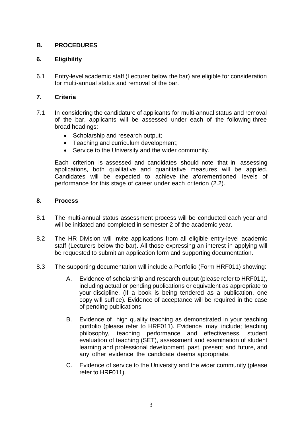# **B. PROCEDURES**

# **6. Eligibility**

6.1 Entry-level academic staff (Lecturer below the bar) are eligible for consideration for multi-annual status and removal of the bar.

# **7. Criteria**

- 7.1 In considering the candidature of applicants for multi-annual status and removal of the bar, applicants will be assessed under each of the following three broad headings:
	- Scholarship and research output;
	- Teaching and curriculum development;
	- Service to the University and the wider community.

Each criterion is assessed and candidates should note that in assessing applications, both qualitative and quantitative measures will be applied. Candidates will be expected to achieve the aforementioned levels of performance for this stage of career under each criterion (2.2).

#### **8. Process**

- 8.1 The multi-annual status assessment process will be conducted each year and will be initiated and completed in semester 2 of the academic year.
- 8.2 The HR Division will invite applications from all eligible entry-level academic staff (Lecturers below the bar). All those expressing an interest in applying will be requested to submit an application form and supporting documentation.
- 8.3 The supporting documentation will include a Portfolio (Form HRF011) showing:
	- A. Evidence of scholarship and research output (please refer to HRF011), including actual or pending publications or equivalent as appropriate to your discipline. (If a book is being tendered as a publication, one copy will suffice). Evidence of acceptance will be required in the case of pending publications.
	- B. Evidence of high quality teaching as demonstrated in your teaching portfolio (please refer to HRF011). Evidence may include; teaching philosophy, teaching performance and effectiveness, student evaluation of teaching (SET), assessment and examination of student learning and professional development, past, present and future, and any other evidence the candidate deems appropriate.
	- C. Evidence of service to the University and the wider community (please refer to HRF011).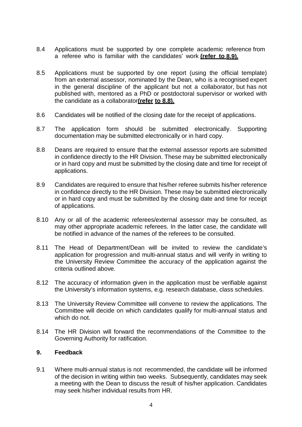- 8.4 Applications must be supported by one complete academic reference from a referee who is familiar with the candidates' work **(refer to 8.9).**
- 8.5 Applications must be supported by one report (using the official template) from an external assessor, nominated by the Dean, who is a recognised expert in the general discipline of the applicant but not a collaborator, but has not published with, mentored as a PhD or postdoctoral supervisor or worked with the candidate as a collaborator**(refer to 8.8).**
- 8.6 Candidates will be notified of the closing date for the receipt of applications.
- 8.7 The application form should be submitted electronically. Supporting documentation may be submitted electronically or in hard copy.
- 8.8 Deans are required to ensure that the external assessor reports are submitted in confidence directly to the HR Division. These may be submitted electronically or in hard copy and must be submitted by the closing date and time for receipt of applications.
- 8.9 Candidates are required to ensure that his/her referee submits his/her reference in confidence directly to the HR Division. These may be submitted electronically or in hard copy and must be submitted by the closing date and time for receipt of applications.
- 8.10 Any or all of the academic referees/external assessor may be consulted, as may other appropriate academic referees. In the latter case, the candidate will be notified in advance of the names of the referees to be consulted.
- 8.11 The Head of Department/Dean will be invited to review the candidate's application for progression and multi-annual status and will verify in writing to the University Review Committee the accuracy of the application against the criteria outlined above.
- 8.12 The accuracy of information given in the application must be verifiable against the University's information systems, e.g. research database, class schedules.
- 8.13 The University Review Committee will convene to review the applications. The Committee will decide on which candidates qualify for multi-annual status and which do not.
- 8.14 The HR Division will forward the recommendations of the Committee to the Governing Authority for ratification.

#### **9. Feedback**

9.1 Where multi-annual status is not recommended, the candidate will be informed of the decision in writing within two weeks. Subsequently, candidates may seek a meeting with the Dean to discuss the result of his/her application. Candidates may seek his/her individual results from HR.